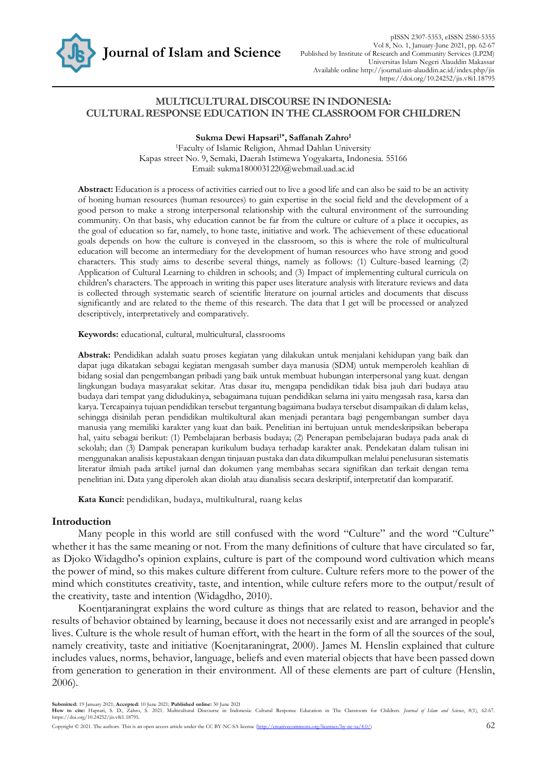

## **MULTICULTURAL DISCOURSE IN INDONESIA: CULTURAL RESPONSE EDUCATION IN THE CLASSROOM FOR CHILDREN**

**Sukma Dewi Hapsari1\*, Saffanah Zahro<sup>1</sup>**

<sup>1</sup>Faculty of Islamic Religion, Ahmad Dahlan University Kapas street No. 9, Semaki, Daerah Istimewa Yogyakarta, Indonesia. 55166 Email: sukma1800031220@webmail.uad.ac.id

**Abstract:** Education is a process of activities carried out to live a good life and can also be said to be an activity of honing human resources (human resources) to gain expertise in the social field and the development of a good person to make a strong interpersonal relationship with the cultural environment of the surrounding community. On that basis, why education cannot be far from the culture or culture of a place it occupies, as the goal of education so far, namely, to hone taste, initiative and work. The achievement of these educational goals depends on how the culture is conveyed in the classroom, so this is where the role of multicultural education will become an intermediary for the development of human resources who have strong and good characters. This study aims to describe several things, namely as follows: (1) Culture-based learning; (2) Application of Cultural Learning to children in schools; and (3) Impact of implementing cultural curricula on children's characters. The approach in writing this paper uses literature analysis with literature reviews and data is collected through systematic search of scientific literature on journal articles and documents that discuss significantly and are related to the theme of this research. The data that I get will be processed or analyzed descriptively, interpretatively and comparatively.

**Keywords:** educational, cultural, multicultural, classrooms

**Abstrak:** Pendidikan adalah suatu proses kegiatan yang dilakukan untuk menjalani kehidupan yang baik dan dapat juga dikatakan sebagai kegiatan mengasah sumber daya manusia (SDM) untuk memperoleh keahlian di bidang sosial dan pengembangan pribadi yang baik untuk membuat hubungan interpersonal yang kuat. dengan lingkungan budaya masyarakat sekitar. Atas dasar itu, mengapa pendidikan tidak bisa jauh dari budaya atau budaya dari tempat yang didudukinya, sebagaimana tujuan pendidikan selama ini yaitu mengasah rasa, karsa dan karya. Tercapainya tujuan pendidikan tersebut tergantung bagaimana budaya tersebut disampaikan di dalam kelas, sehingga disinilah peran pendidikan multikultural akan menjadi perantara bagi pengembangan sumber daya manusia yang memiliki karakter yang kuat dan baik. Penelitian ini bertujuan untuk mendeskripsikan beberapa hal, yaitu sebagai berikut: (1) Pembelajaran berbasis budaya; (2) Penerapan pembelajaran budaya pada anak di sekolah; dan (3) Dampak penerapan kurikulum budaya terhadap karakter anak. Pendekatan dalam tulisan ini menggunakan analisis kepustakaan dengan tinjauan pustaka dan data dikumpulkan melalui penelusuran sistematis literatur ilmiah pada artikel jurnal dan dokumen yang membahas secara signifikan dan terkait dengan tema penelitian ini. Data yang diperoleh akan diolah atau dianalisis secara deskriptif, interpretatif dan komparatif.

**Kata Kunci:** pendidikan, budaya, multikultural, ruang kelas

#### **Introduction**

Many people in this world are still confused with the word "Culture" and the word "Culture" whether it has the same meaning or not. From the many definitions of culture that have circulated so far, as Djoko Widagdho's opinion explains, culture is part of the compound word cultivation which means the power of mind, so this makes culture different from culture. Culture refers more to the power of the mind which constitutes creativity, taste, and intention, while culture refers more to the output/result of the creativity, taste and intention (Widagdho, 2010).

Koentjaraningrat explains the word culture as things that are related to reason, behavior and the results of behavior obtained by learning, because it does not necessarily exist and are arranged in people's lives. Culture is the whole result of human effort, with the heart in the form of all the sources of the soul, namely creativity, taste and initiative (Koenjtaraningrat, 2000). James M. Henslin explained that culture includes values, norms, behavior, language, beliefs and even material objects that have been passed down from generation to generation in their environment. All of these elements are part of culture (Henslin, 2006).

**Submitted:** 19 January 2021; **Accepted:** 10 June 2021; **Published online:** 30 June 2021

**How to cite:** Hapsari, S. D., Zahro, S. 2021. Multicultural Discourse in Indonesia: Cultural Response Education in The Classroom for Children. *Journal of Islam and Science*, 8(1), 62-67. https://doi.org/10.24252/jis.v8i1.18795.

Copyright © 2021. The authors. This is an open access article under the CC BY-NC-SA license (http://creativecommons.org/licenses/by-nc-sa/4.0/) 62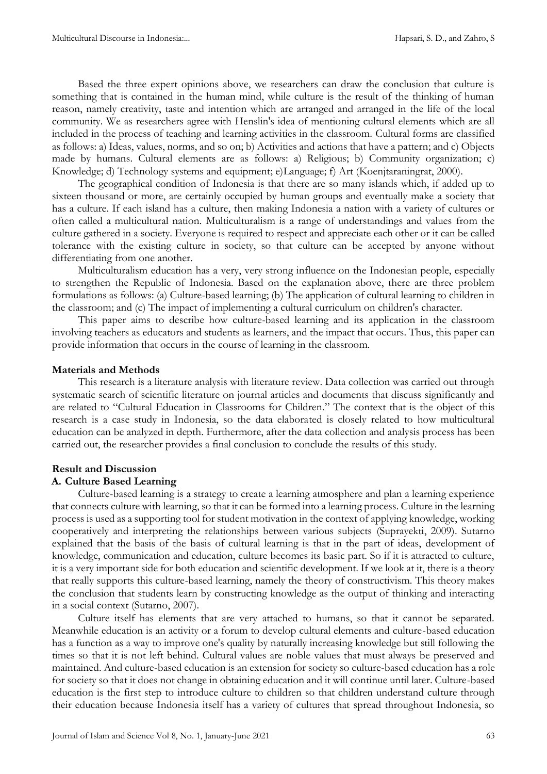Based the three expert opinions above, we researchers can draw the conclusion that culture is something that is contained in the human mind, while culture is the result of the thinking of human reason, namely creativity, taste and intention which are arranged and arranged in the life of the local community. We as researchers agree with Henslin's idea of mentioning cultural elements which are all included in the process of teaching and learning activities in the classroom. Cultural forms are classified as follows: a) Ideas, values, norms, and so on; b) Activities and actions that have a pattern; and c) Objects made by humans. Cultural elements are as follows: a) Religious; b) Community organization; c) Knowledge; d) Technology systems and equipment; e)Language; f) Art (Koenjtaraningrat, 2000).

The geographical condition of Indonesia is that there are so many islands which, if added up to sixteen thousand or more, are certainly occupied by human groups and eventually make a society that has a culture. If each island has a culture, then making Indonesia a nation with a variety of cultures or often called a multicultural nation. Multiculturalism is a range of understandings and values from the culture gathered in a society. Everyone is required to respect and appreciate each other or it can be called tolerance with the existing culture in society, so that culture can be accepted by anyone without differentiating from one another.

Multiculturalism education has a very, very strong influence on the Indonesian people, especially to strengthen the Republic of Indonesia. Based on the explanation above, there are three problem formulations as follows: (a) Culture-based learning; (b) The application of cultural learning to children in the classroom; and (c) The impact of implementing a cultural curriculum on children's character.

This paper aims to describe how culture-based learning and its application in the classroom involving teachers as educators and students as learners, and the impact that occurs. Thus, this paper can provide information that occurs in the course of learning in the classroom.

### **Materials and Methods**

This research is a literature analysis with literature review. Data collection was carried out through systematic search of scientific literature on journal articles and documents that discuss significantly and are related to "Cultural Education in Classrooms for Children." The context that is the object of this research is a case study in Indonesia, so the data elaborated is closely related to how multicultural education can be analyzed in depth. Furthermore, after the data collection and analysis process has been carried out, the researcher provides a final conclusion to conclude the results of this study.

# **Result and Discussion**

### **A. Culture Based Learning**

Culture-based learning is a strategy to create a learning atmosphere and plan a learning experience that connects culture with learning, so that it can be formed into a learning process. Culture in the learning process is used as a supporting tool for student motivation in the context of applying knowledge, working cooperatively and interpreting the relationships between various subjects (Suprayekti, 2009). Sutarno explained that the basis of the basis of cultural learning is that in the part of ideas, development of knowledge, communication and education, culture becomes its basic part. So if it is attracted to culture, it is a very important side for both education and scientific development. If we look at it, there is a theory that really supports this culture-based learning, namely the theory of constructivism. This theory makes the conclusion that students learn by constructing knowledge as the output of thinking and interacting in a social context (Sutarno, 2007).

Culture itself has elements that are very attached to humans, so that it cannot be separated. Meanwhile education is an activity or a forum to develop cultural elements and culture-based education has a function as a way to improve one's quality by naturally increasing knowledge but still following the times so that it is not left behind. Cultural values are noble values that must always be preserved and maintained. And culture-based education is an extension for society so culture-based education has a role for society so that it does not change in obtaining education and it will continue until later. Culture-based education is the first step to introduce culture to children so that children understand culture through their education because Indonesia itself has a variety of cultures that spread throughout Indonesia, so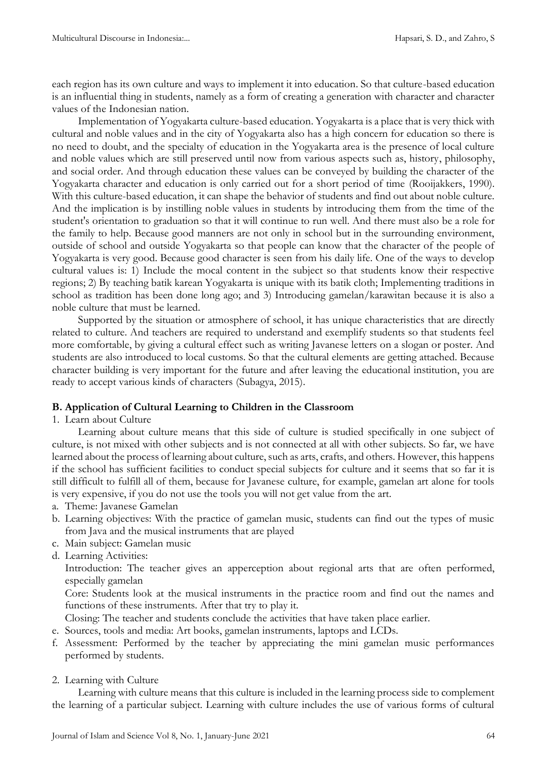each region has its own culture and ways to implement it into education. So that culture-based education is an influential thing in students, namely as a form of creating a generation with character and character values of the Indonesian nation.

Implementation of Yogyakarta culture-based education. Yogyakarta is a place that is very thick with cultural and noble values and in the city of Yogyakarta also has a high concern for education so there is no need to doubt, and the specialty of education in the Yogyakarta area is the presence of local culture and noble values which are still preserved until now from various aspects such as, history, philosophy, and social order. And through education these values can be conveyed by building the character of the Yogyakarta character and education is only carried out for a short period of time (Rooijakkers, 1990). With this culture-based education, it can shape the behavior of students and find out about noble culture. And the implication is by instilling noble values in students by introducing them from the time of the student's orientation to graduation so that it will continue to run well. And there must also be a role for the family to help. Because good manners are not only in school but in the surrounding environment, outside of school and outside Yogyakarta so that people can know that the character of the people of Yogyakarta is very good. Because good character is seen from his daily life. One of the ways to develop cultural values is: 1) Include the mocal content in the subject so that students know their respective regions; 2) By teaching batik karean Yogyakarta is unique with its batik cloth; Implementing traditions in school as tradition has been done long ago; and 3) Introducing gamelan/karawitan because it is also a noble culture that must be learned.

Supported by the situation or atmosphere of school, it has unique characteristics that are directly related to culture. And teachers are required to understand and exemplify students so that students feel more comfortable, by giving a cultural effect such as writing Javanese letters on a slogan or poster. And students are also introduced to local customs. So that the cultural elements are getting attached. Because character building is very important for the future and after leaving the educational institution, you are ready to accept various kinds of characters (Subagya, 2015).

## **B. Application of Cultural Learning to Children in the Classroom**

1. Learn about Culture

Learning about culture means that this side of culture is studied specifically in one subject of culture, is not mixed with other subjects and is not connected at all with other subjects. So far, we have learned about the process of learning about culture, such as arts, crafts, and others. However, this happens if the school has sufficient facilities to conduct special subjects for culture and it seems that so far it is still difficult to fulfill all of them, because for Javanese culture, for example, gamelan art alone for tools is very expensive, if you do not use the tools you will not get value from the art.

- a. Theme: Javanese Gamelan
- b. Learning objectives: With the practice of gamelan music, students can find out the types of music from Java and the musical instruments that are played
- c. Main subject: Gamelan music
- d. Learning Activities:

Introduction: The teacher gives an apperception about regional arts that are often performed, especially gamelan

Core: Students look at the musical instruments in the practice room and find out the names and functions of these instruments. After that try to play it.

Closing: The teacher and students conclude the activities that have taken place earlier.

- e. Sources, tools and media: Art books, gamelan instruments, laptops and LCDs.
- f. Assessment: Performed by the teacher by appreciating the mini gamelan music performances performed by students.

### 2. Learning with Culture

Learning with culture means that this culture is included in the learning process side to complement the learning of a particular subject. Learning with culture includes the use of various forms of cultural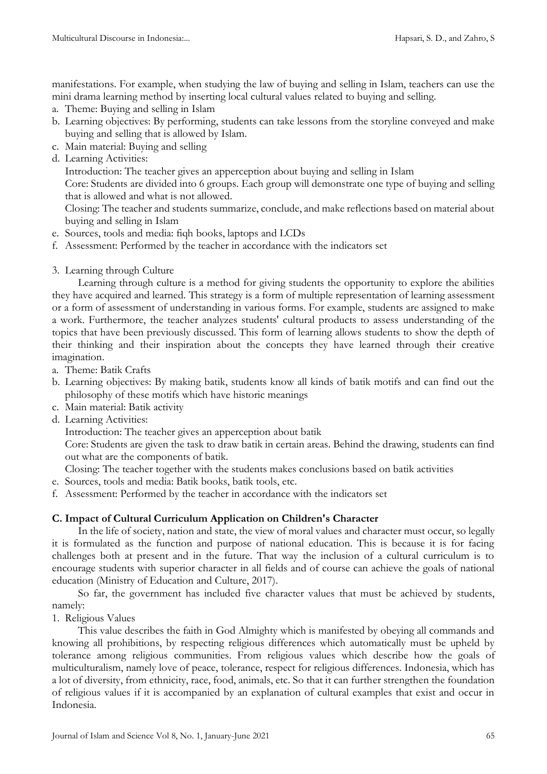manifestations. For example, when studying the law of buying and selling in Islam, teachers can use the mini drama learning method by inserting local cultural values related to buying and selling.

- a. Theme: Buying and selling in Islam
- b. Learning objectives: By performing, students can take lessons from the storyline conveyed and make buying and selling that is allowed by Islam.
- c. Main material: Buying and selling
- d. Learning Activities:

Introduction: The teacher gives an apperception about buying and selling in Islam

Core: Students are divided into 6 groups. Each group will demonstrate one type of buying and selling that is allowed and what is not allowed.

Closing: The teacher and students summarize, conclude, and make reflections based on material about buying and selling in Islam

- e. Sources, tools and media: fiqh books, laptops and LCDs
- f. Assessment: Performed by the teacher in accordance with the indicators set
- 3. Learning through Culture

Learning through culture is a method for giving students the opportunity to explore the abilities they have acquired and learned. This strategy is a form of multiple representation of learning assessment or a form of assessment of understanding in various forms. For example, students are assigned to make a work. Furthermore, the teacher analyzes students' cultural products to assess understanding of the topics that have been previously discussed. This form of learning allows students to show the depth of their thinking and their inspiration about the concepts they have learned through their creative imagination.

- a. Theme: Batik Crafts
- b. Learning objectives: By making batik, students know all kinds of batik motifs and can find out the philosophy of these motifs which have historic meanings
- c. Main material: Batik activity
- d. Learning Activities:

Introduction: The teacher gives an apperception about batik

Core: Students are given the task to draw batik in certain areas. Behind the drawing, students can find out what are the components of batik.

- Closing: The teacher together with the students makes conclusions based on batik activities
- e. Sources, tools and media: Batik books, batik tools, etc.
- f. Assessment: Performed by the teacher in accordance with the indicators set

## **C. Impact of Cultural Curriculum Application on Children's Character**

In the life of society, nation and state, the view of moral values and character must occur, so legally it is formulated as the function and purpose of national education. This is because it is for facing challenges both at present and in the future. That way the inclusion of a cultural curriculum is to encourage students with superior character in all fields and of course can achieve the goals of national education (Ministry of Education and Culture, 2017).

So far, the government has included five character values that must be achieved by students, namely:

1. Religious Values

This value describes the faith in God Almighty which is manifested by obeying all commands and knowing all prohibitions, by respecting religious differences which automatically must be upheld by tolerance among religious communities. From religious values which describe how the goals of multiculturalism, namely love of peace, tolerance, respect for religious differences. Indonesia, which has a lot of diversity, from ethnicity, race, food, animals, etc. So that it can further strengthen the foundation of religious values if it is accompanied by an explanation of cultural examples that exist and occur in Indonesia.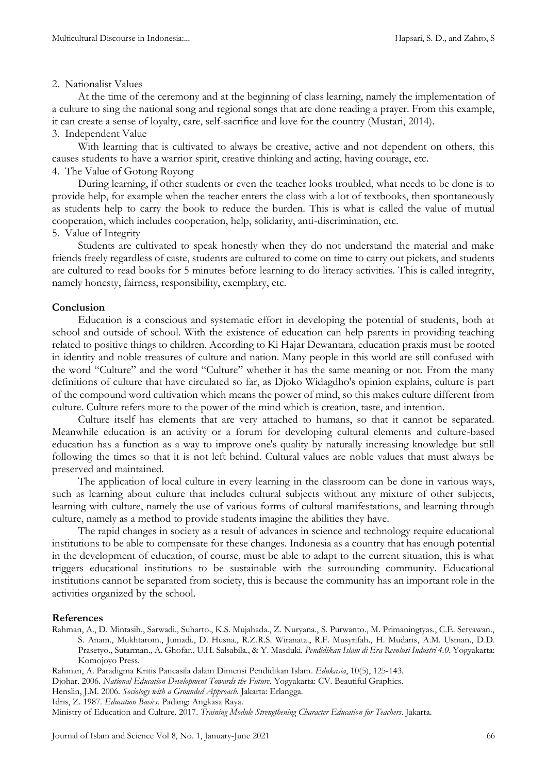#### 2. Nationalist Values

At the time of the ceremony and at the beginning of class learning, namely the implementation of a culture to sing the national song and regional songs that are done reading a prayer. From this example, it can create a sense of loyalty, care, self-sacrifice and love for the country (Mustari, 2014).

### 3. Independent Value

With learning that is cultivated to always be creative, active and not dependent on others, this causes students to have a warrior spirit, creative thinking and acting, having courage, etc.

# 4. The Value of Gotong Royong

During learning, if other students or even the teacher looks troubled, what needs to be done is to provide help, for example when the teacher enters the class with a lot of textbooks, then spontaneously as students help to carry the book to reduce the burden. This is what is called the value of mutual cooperation, which includes cooperation, help, solidarity, anti-discrimination, etc.

### 5. Value of Integrity

Students are cultivated to speak honestly when they do not understand the material and make friends freely regardless of caste, students are cultured to come on time to carry out pickets, and students are cultured to read books for 5 minutes before learning to do literacy activities. This is called integrity, namely honesty, fairness, responsibility, exemplary, etc.

### **Conclusion**

Education is a conscious and systematic effort in developing the potential of students, both at school and outside of school. With the existence of education can help parents in providing teaching related to positive things to children. According to Ki Hajar Dewantara, education praxis must be rooted in identity and noble treasures of culture and nation. Many people in this world are still confused with the word "Culture" and the word "Culture" whether it has the same meaning or not. From the many definitions of culture that have circulated so far, as Djoko Widagdho's opinion explains, culture is part of the compound word cultivation which means the power of mind, so this makes culture different from culture. Culture refers more to the power of the mind which is creation, taste, and intention.

Culture itself has elements that are very attached to humans, so that it cannot be separated. Meanwhile education is an activity or a forum for developing cultural elements and culture-based education has a function as a way to improve one's quality by naturally increasing knowledge but still following the times so that it is not left behind. Cultural values are noble values that must always be preserved and maintained.

The application of local culture in every learning in the classroom can be done in various ways, such as learning about culture that includes cultural subjects without any mixture of other subjects, learning with culture, namely the use of various forms of cultural manifestations, and learning through culture, namely as a method to provide students imagine the abilities they have.

The rapid changes in society as a result of advances in science and technology require educational institutions to be able to compensate for these changes. Indonesia as a country that has enough potential in the development of education, of course, must be able to adapt to the current situation, this is what triggers educational institutions to be sustainable with the surrounding community. Educational institutions cannot be separated from society, this is because the community has an important role in the activities organized by the school.

#### **References**

Rahman, A., D. Mintasih., Sarwadi., Suharto., K.S. Mujahada., Z. Nuryana., S. Purwanto., M. Primaningtyas., C.E. Setyawan., S. Anam., Mukhtarom., Jumadi., D. Husna., R.Z.R.S. Wiranata., R.F. Musyrifah., H. Mudaris, A.M. Usman., D.D. Prasetyo., Sutarman., A. Ghofar., U.H. Salsabila., & Y. Masduki. *Pendidikan Islam di Era Revolusi Industri 4.0*. Yogyakarta: Komojoyo Press.

Djohar. 2006. *National Education Development Towards the Future*. Yogyakarta: CV. Beautiful Graphics.

Ministry of Education and Culture. 2017. *Training Module Strengthening Character Education for Teachers*. Jakarta.

Rahman, A. Paradigma Kritis Pancasila dalam Dimensi Pendidikan Islam. *Edukasia*, 10(5), 125-143.

Henslin, J.M. 2006. *Sociology with a Grounded Approach*. Jakarta: Erlangga.

Idris, Z. 1987. *Education Basics*. Padang: Angkasa Raya.